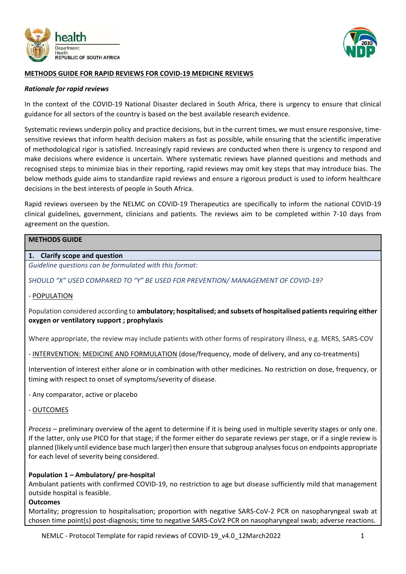



### **METHODS GUIDE FOR RAPID REVIEWS FOR COVID-19 MEDICINE REVIEWS**

#### *Rationale for rapid reviews*

In the context of the COVID-19 National Disaster declared in South Africa, there is urgency to ensure that clinical guidance for all sectors of the country is based on the best available research evidence.

Systematic reviews underpin policy and practice decisions, but in the current times, we must ensure responsive, timesensitive reviews that inform health decision makers as fast as possible, while ensuring that the scientific imperative of methodological rigor is satisfied. Increasingly rapid reviews are conducted when there is urgency to respond and make decisions where evidence is uncertain. Where systematic reviews have planned questions and methods and recognised steps to minimize bias in their reporting, rapid reviews may omit key steps that may introduce bias. The below methods guide aims to standardize rapid reviews and ensure a rigorous product is used to inform healthcare decisions in the best interests of people in South Africa.

Rapid reviews overseen by the NELMC on COVID-19 Therapeutics are specifically to inform the national COVID-19 clinical guidelines, government, clinicians and patients. The reviews aim to be completed within 7-10 days from agreement on the question.

# **METHODS GUIDE**

#### **1. Clarify scope and question**

*Guideline questions can be formulated with this format:* 

*SHOULD "X" USED COMPARED TO "Y" BE USED FOR PREVENTION/ MANAGEMENT OF COVID-19?*

#### - POPULATION

Population considered according to **ambulatory; hospitalised; and subsets of hospitalised patients requiring either oxygen or ventilatory support ; prophylaxis** 

Where appropriate, the review may include patients with other forms of respiratory illness, e.g. MERS, SARS-COV

- INTERVENTION: MEDICINE AND FORMULATION (dose/frequency, mode of delivery, and any co-treatments)

Intervention of interest either alone or in combination with other medicines. No restriction on dose, frequency, or timing with respect to onset of symptoms/severity of disease.

- Any comparator, active or placebo

- OUTCOMES

*Process* – preliminary overview of the agent to determine if it is being used in multiple severity stages or only one. If the latter, only use PICO for that stage; if the former either do separate reviews per stage, or if a single review is planned (likely until evidence base much larger) then ensure that subgroup analyses focus on endpoints appropriate for each level of severity being considered.

### **Population 1 – Ambulatory/ pre-hospital**

Ambulant patients with confirmed COVID-19, no restriction to age but disease sufficiently mild that management outside hospital is feasible.

#### **Outcomes**

Mortality; progression to hospitalisation; proportion with negative SARS-CoV-2 PCR on nasopharyngeal swab at chosen time point(s) post-diagnosis; time to negative SARS-CoV2 PCR on nasopharyngeal swab; adverse reactions.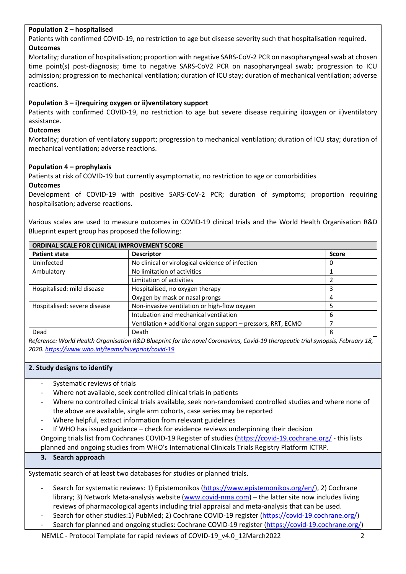### **Population 2 – hospitalised**

Patients with confirmed COVID-19, no restriction to age but disease severity such that hospitalisation required. **Outcomes**

Mortality; duration of hospitalisation; proportion with negative SARS-CoV-2 PCR on nasopharyngeal swab at chosen time point(s) post-diagnosis; time to negative SARS-CoV2 PCR on nasopharyngeal swab; progression to ICU admission; progression to mechanical ventilation; duration of ICU stay; duration of mechanical ventilation; adverse reactions.

## **Population 3 – i)requiring oxygen or ii)ventilatory support**

Patients with confirmed COVID-19, no restriction to age but severe disease requiring i)oxygen or ii)ventilatory assistance.

## **Outcomes**

Mortality; duration of ventilatory support; progression to mechanical ventilation; duration of ICU stay; duration of mechanical ventilation; adverse reactions.

### **Population 4 – prophylaxis**

Patients at risk of COVID-19 but currently asymptomatic, no restriction to age or comorbidities

### **Outcomes**

Development of COVID-19 with positive SARS-CoV-2 PCR; duration of symptoms; proportion requiring hospitalisation; adverse reactions.

Various scales are used to measure outcomes in COVID-19 clinical trials and the World Health Organisation R&D Blueprint expert group has proposed the following:

| ORDINAL SCALE FOR CLINICAL IMPROVEMENT SCORE |                                                              |              |  |  |
|----------------------------------------------|--------------------------------------------------------------|--------------|--|--|
| <b>Patient state</b>                         | <b>Descriptor</b>                                            | <b>Score</b> |  |  |
| Uninfected                                   | No clinical or virological evidence of infection             | 0            |  |  |
| Ambulatory                                   | No limitation of activities                                  |              |  |  |
|                                              | Limitation of activities                                     |              |  |  |
| Hospitalised: mild disease                   | Hospitalised, no oxygen therapy                              | 3            |  |  |
|                                              | Oxygen by mask or nasal prongs                               | 4            |  |  |
| Hospitalised: severe disease                 | Non-invasive ventilation or high-flow oxygen                 |              |  |  |
|                                              | Intubation and mechanical ventilation                        | 6            |  |  |
|                                              | Ventilation + additional organ support - pressors, RRT, ECMO |              |  |  |
| Dead                                         | Death                                                        | 8            |  |  |

*Reference: World Health Organisation R&D Blueprint for the novel Coronavirus, Covid-19 therapeutic trial synopsis, February 18, 2020[. https://www.who.int/teams/blueprint/covid-19](https://www.who.int/teams/blueprint/covid-19)*

#### **2. Study designs to identify**

- Systematic reviews of trials
- Where not available, seek controlled clinical trials in patients
- Where no controlled clinical trials available, seek non-randomised controlled studies and where none of the above are available, single arm cohorts, case series may be reported
- Where helpful, extract information from relevant guidelines
- If WHO has issued guidance check for evidence reviews underpinning their decision

Ongoing trials list from Cochranes COVID-19 Register of studies [\(https://covid-19.cochrane.org/](https://covid-19.cochrane.org/) - this lists planned and ongoing studies from WHO's International Clinicals Trials Registry Platform ICTRP.

### **3. Search approach**

Systematic search of at least two databases for studies or planned trials.

- Search for systematic reviews: 1) Epistemonikos [\(https://www.epistemonikos.org/en/\)](https://www.epistemonikos.org/en/), 2) Cochrane library; 3) Network Meta-analysis website [\(www.covid-nma.com\)](http://www.covid-nma.com/) – the latter site now includes living reviews of pharmacological agents including trial appraisal and meta-analysis that can be used.
- Search for other studies:1) PubMed; 2) Cochrane COVID-19 register [\(https://covid-19.cochrane.org/\)](https://covid-19.cochrane.org/)
- Search for planned and ongoing studies: Cochrane COVID-19 register [\(https://covid-19.cochrane.org/\)](https://covid-19.cochrane.org/)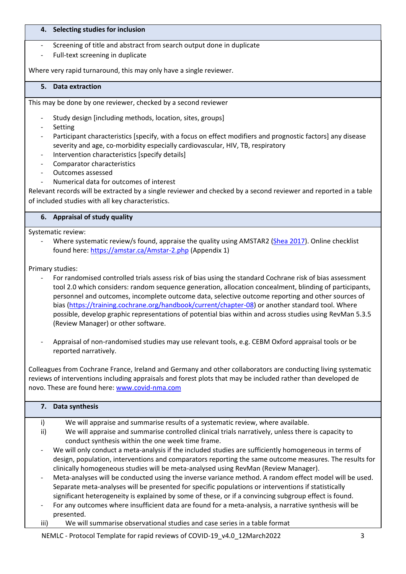### **4. Selecting studies for inclusion**

- Screening of title and abstract from search output done in duplicate
- Full-text screening in duplicate

Where very rapid turnaround, this may only have a single reviewer.

### **5. Data extraction**

This may be done by one reviewer, checked by a second reviewer

- Study design [including methods, location, sites, groups]
- Setting
- Participant characteristics [specify, with a focus on effect modifiers and prognostic factors] any disease severity and age, co-morbidity especially cardiovascular, HIV, TB, respiratory
- Intervention characteristics [specify details]
- Comparator characteristics
- Outcomes assessed
- Numerical data for outcomes of interest

Relevant records will be extracted by a single reviewer and checked by a second reviewer and reported in a table of included studies with all key characteristics.

### **6. Appraisal of study quality**

Systematic review:

Where systematic review/s found, appraise the quality using AMSTAR2 [\(Shea 2017\)](https://www.bmj.com/content/bmj/358/bmj.j4008.full.pdf). Online checklist found here:<https://amstar.ca/Amstar-2.php> (Appendix 1)

Primary studies:

- For randomised controlled trials assess risk of bias using the standard Cochrane risk of bias assessment tool 2.0 which considers: random sequence generation, allocation concealment, blinding of participants, personnel and outcomes, incomplete outcome data, selective outcome reporting and other sources of bias [\(https://training.cochrane.org/handbook/current/chapter-08\)](https://training.cochrane.org/handbook/current/chapter-08) or another standard tool. Where possible, develop graphic representations of potential bias within and across studies using RevMan 5.3.5 (Review Manager) or other software.
- Appraisal of non-randomised studies may use relevant tools, e.g. CEBM Oxford appraisal tools or be reported narratively.

Colleagues from Cochrane France, Ireland and Germany and other collaborators are conducting living systematic reviews of interventions including appraisals and forest plots that may be included rather than developed de novo. These are found here: [www.covid-nma.com](http://www.covid-nma.com/)

| 7.  | Data synthesis                                                                                                      |
|-----|---------------------------------------------------------------------------------------------------------------------|
| i)  | We will appraise and summarise results of a systematic review, where available.                                     |
| ii) | We will appraise and summarise controlled clinical trials narratively, unless there is capacity to                  |
|     | conduct synthesis within the one week time frame.                                                                   |
|     | We will only conduct a meta-analysis if the included studies are sufficiently homogeneous in terms of               |
|     | design, population, interventions and comparators reporting the same outcome measures. The results for              |
|     | clinically homogeneous studies will be meta-analysed using RevMan (Review Manager).                                 |
|     | Meta-analyses will be conducted using the inverse variance method. A random effect model will be used.              |
|     | Separate meta-analyses will be presented for specific populations or interventions if statistically                 |
|     | significant heterogeneity is explained by some of these, or if a convincing subgroup effect is found.               |
|     | For any outcomes where insufficient data are found for a meta-analysis, a narrative synthesis will be<br>presented. |

iii) We will summarise observational studies and case series in a table format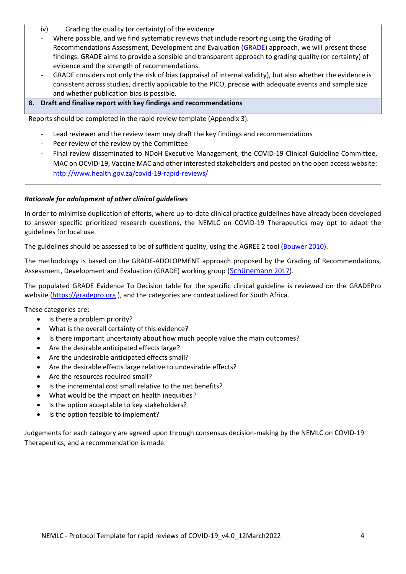- iv) Grading the quality (or certainty) of the evidence
- Where possible, and we find systematic reviews that include reporting using the Grading of Recommendations Assessment, Development and Evaluation [\(GRADE\)](https://www.gradeworkinggroup.org/) approach, we will present those findings. GRADE aims to provide a sensible and transparent approach to grading quality (or certainty) of evidence and the strength of recommendations.
- GRADE considers not only the risk of bias (appraisal of internal validity), but also whether the evidence is consistent across studies, directly applicable to the PICO, precise with adequate events and sample size and whether publication bias is possible.

#### **8. Draft and finalise report with key findings and recommendations**

Reports should be completed in the rapid review template (Appendix 3).

- Lead reviewer and the review team may draft the key findings and recommendations
- Peer review of the review by the Committee
- Final review disseminated to NDoH Executive Management, the COVID-19 Clinical Guideline Committee, MAC on OCVID-19, Vaccine MAC and other interested stakeholders and posted on the open access website: <http://www.health.gov.za/covid-19-rapid-reviews/>

### *Rationale for adolopment of other clinical guidelines*

In order to minimise duplication of efforts, where up-to-date clinical practice guidelines have already been developed to answer specific prioritized research questions, the NEMLC on COVID-19 Therapeutics may opt to adapt the guidelines for local use.

The guidelines should be assessed to be of sufficient quality, using the AGREE 2 tool [\(Bouwer 2010\)](https://pubmed.ncbi.nlm.nih.gov/20603348/).

The methodology is based on the GRADE-ADOLOPMENT approach proposed by the Grading of Recommendations, Assessment, Development and Evaluation (GRADE) working group ([Schünemann](https://www.sciencedirect.com/science/article/pii/S0895435616304826/pdfft?md5=0599622ecb6f9e8e32791d0ab8e315ad&pid=1-s2.0-S0895435616304826-main.pdf) 2017).

The populated GRADE Evidence To Decision table for the specific clinical guideline is reviewed on the GRADEPro website [\(https://gradepro.org](https://gradepro.org/) ), and the categories are contextualized for South Africa.

These categories are:

- Is there a problem priority?
- What is the overall certainty of this evidence?
- Is there important uncertainty about how much people value the main outcomes?
- Are the desirable anticipated effects large?
- Are the undesirable anticipated effects small?
- Are the desirable effects large relative to undesirable effects?
- Are the resources required small?
- Is the incremental cost small relative to the net benefits?
- What would be the impact on health inequities?
- Is the option acceptable to key stakeholders?
- Is the option feasible to implement?

Judgements for each category are agreed upon through consensus decision-making by the NEMLC on COVID-19 Therapeutics, and a recommendation is made.